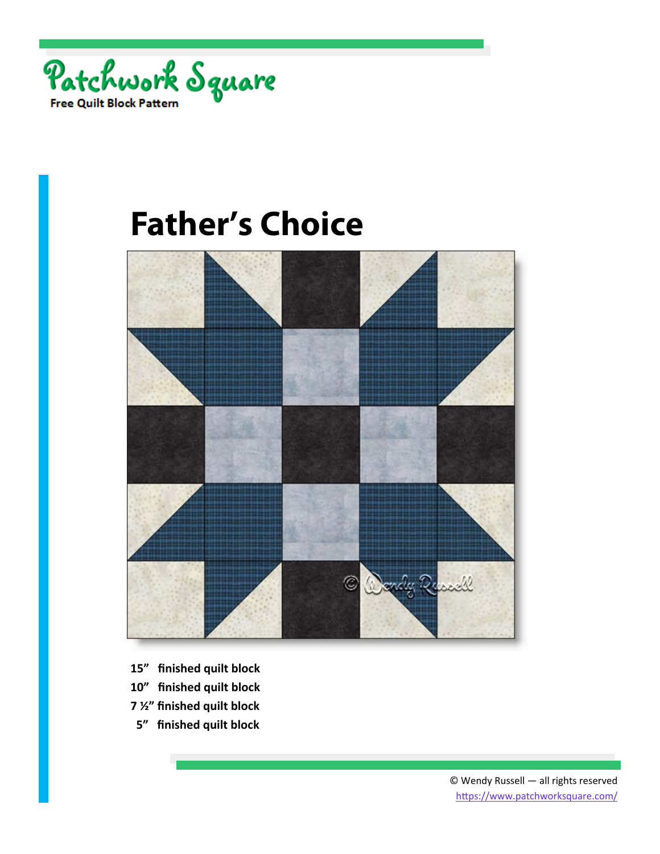



- **15" finished quilt block**
- **10" finished quilt block**
- **7 ½" finished quilt block**
- **5" finished quilt block**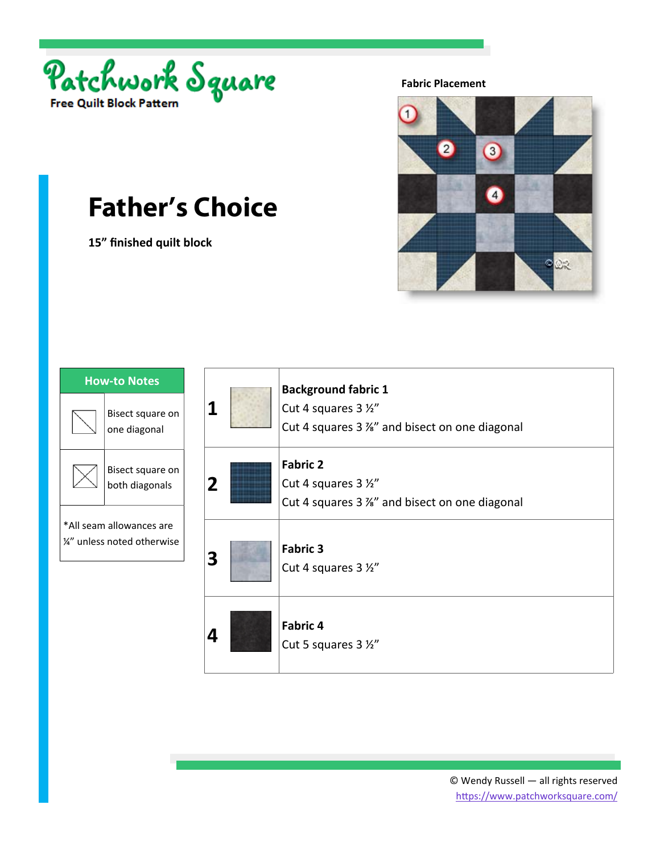

**15" finished quilt block** 



| <b>How-to Notes</b>                                      |                                    |
|----------------------------------------------------------|------------------------------------|
|                                                          | Bisect square on<br>one diagonal   |
|                                                          | Bisect square on<br>both diagonals |
| *All seam allowances are<br>$4''$ unless noted otherwise |                                    |

| 1              | <b>Background fabric 1</b><br>Cut 4 squares 3 1/2"<br>Cut 4 squares 3 %" and bisect on one diagonal |
|----------------|-----------------------------------------------------------------------------------------------------|
| $\overline{2}$ | <b>Fabric 2</b><br>Cut 4 squares 3 1/2"<br>Cut 4 squares 3 %" and bisect on one diagonal            |
| 3              | <b>Fabric 3</b><br>Cut 4 squares 3 1/2"                                                             |
| 4              | <b>Fabric 4</b><br>Cut 5 squares 3 1/2"                                                             |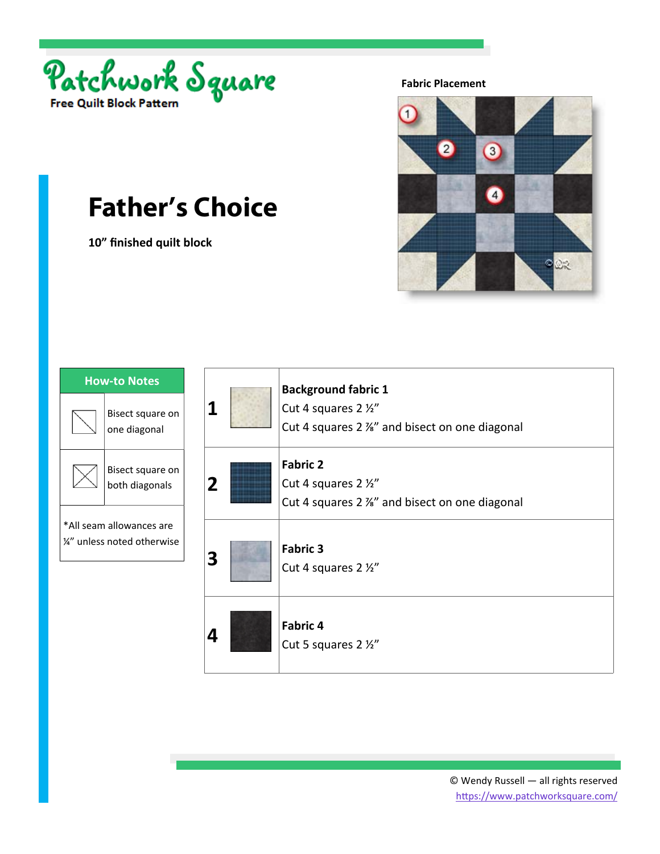

**10" finished quilt block** 



| <b>How-to Notes</b>                                                  |                                    |
|----------------------------------------------------------------------|------------------------------------|
|                                                                      | Bisect square on<br>one diagonal   |
|                                                                      | Bisect square on<br>both diagonals |
| *All seam allowances are<br>$\frac{\mu}{4}$ " unless noted otherwise |                                    |

| 1              | <b>Background fabric 1</b><br>Cut 4 squares 2 1/2"<br>Cut 4 squares 2 %" and bisect on one diagonal |
|----------------|-----------------------------------------------------------------------------------------------------|
| $\overline{2}$ | <b>Fabric 2</b><br>Cut 4 squares 2 1/2"<br>Cut 4 squares 2 %" and bisect on one diagonal            |
| 3              | <b>Fabric 3</b><br>Cut 4 squares 2 1/2"                                                             |
| 4              | <b>Fabric 4</b><br>Cut 5 squares 2 1/2"                                                             |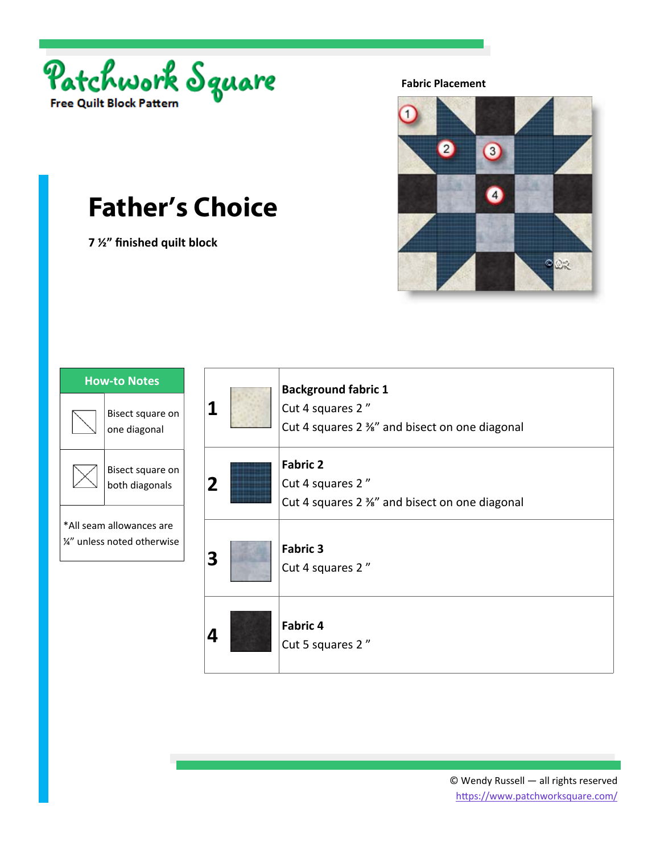

**7 ½" finished quilt block** 



| <b>How-to Notes</b>                                                |                                    |
|--------------------------------------------------------------------|------------------------------------|
|                                                                    | Bisect square on<br>one diagonal   |
|                                                                    | Bisect square on<br>both diagonals |
| *All seam allowances are<br>$\frac{\mu}{4}$ unless noted otherwise |                                    |

| 1              | <b>Background fabric 1</b><br>Cut 4 squares 2"<br>Cut 4 squares 2 %" and bisect on one diagonal |
|----------------|-------------------------------------------------------------------------------------------------|
| $\overline{2}$ | <b>Fabric 2</b><br>Cut 4 squares 2"<br>Cut 4 squares 2 %" and bisect on one diagonal            |
| 3              | <b>Fabric 3</b><br>Cut 4 squares 2"                                                             |
| 4              | <b>Fabric 4</b><br>Cut 5 squares 2"                                                             |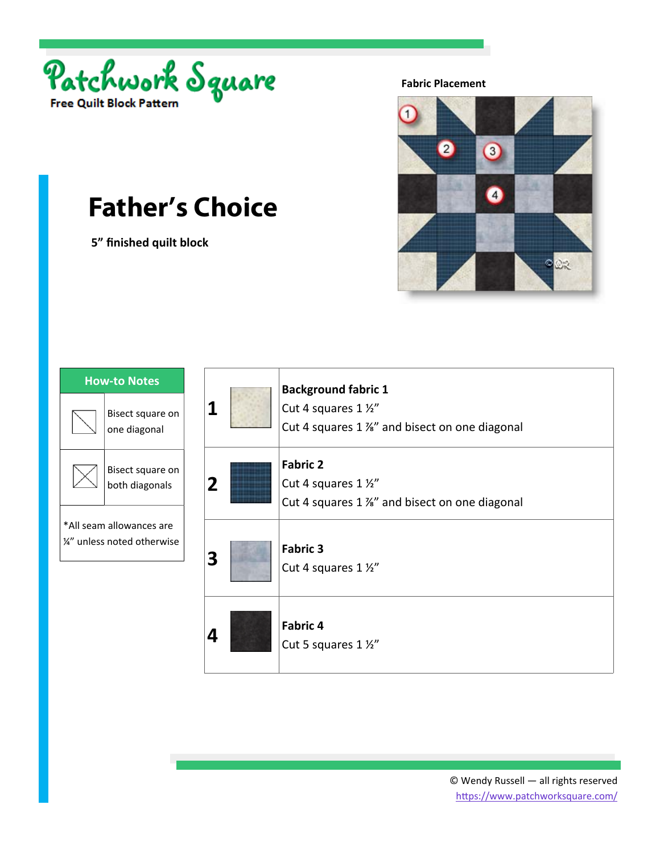

 **5" finished quilt block** 



| <b>How-to Notes</b>                                     |                                    |
|---------------------------------------------------------|------------------------------------|
|                                                         | Bisect square on<br>one diagonal   |
|                                                         | Bisect square on<br>both diagonals |
| *All seam allowances are<br>1/4" unless noted otherwise |                                    |

| 1              | <b>Background fabric 1</b><br>Cut 4 squares 1 1/2"<br>Cut 4 squares 1 %" and bisect on one diagonal |
|----------------|-----------------------------------------------------------------------------------------------------|
| $\overline{2}$ | <b>Fabric 2</b><br>Cut 4 squares 1 1/2"<br>Cut 4 squares 1 %" and bisect on one diagonal            |
| 3              | <b>Fabric 3</b><br>Cut 4 squares 1 1/2"                                                             |
| 4              | <b>Fabric 4</b><br>Cut 5 squares 1 1/2"                                                             |